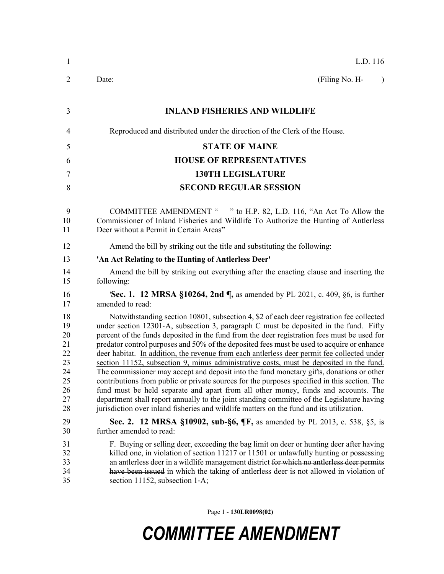| $\mathbf{1}$                                                   | L.D. 116                                                                                                                                                                                                                                                                                                                                                                                                                                                                                                                                                                                                                                                                                                                                                                                                                                                                                                                                                                                                                                             |
|----------------------------------------------------------------|------------------------------------------------------------------------------------------------------------------------------------------------------------------------------------------------------------------------------------------------------------------------------------------------------------------------------------------------------------------------------------------------------------------------------------------------------------------------------------------------------------------------------------------------------------------------------------------------------------------------------------------------------------------------------------------------------------------------------------------------------------------------------------------------------------------------------------------------------------------------------------------------------------------------------------------------------------------------------------------------------------------------------------------------------|
| $\overline{2}$                                                 | (Filing No. H-<br>Date:<br>$\lambda$                                                                                                                                                                                                                                                                                                                                                                                                                                                                                                                                                                                                                                                                                                                                                                                                                                                                                                                                                                                                                 |
| 3                                                              | <b>INLAND FISHERIES AND WILDLIFE</b>                                                                                                                                                                                                                                                                                                                                                                                                                                                                                                                                                                                                                                                                                                                                                                                                                                                                                                                                                                                                                 |
| 4                                                              | Reproduced and distributed under the direction of the Clerk of the House.                                                                                                                                                                                                                                                                                                                                                                                                                                                                                                                                                                                                                                                                                                                                                                                                                                                                                                                                                                            |
| 5                                                              | <b>STATE OF MAINE</b>                                                                                                                                                                                                                                                                                                                                                                                                                                                                                                                                                                                                                                                                                                                                                                                                                                                                                                                                                                                                                                |
| 6                                                              | <b>HOUSE OF REPRESENTATIVES</b>                                                                                                                                                                                                                                                                                                                                                                                                                                                                                                                                                                                                                                                                                                                                                                                                                                                                                                                                                                                                                      |
| 7                                                              | <b>130TH LEGISLATURE</b>                                                                                                                                                                                                                                                                                                                                                                                                                                                                                                                                                                                                                                                                                                                                                                                                                                                                                                                                                                                                                             |
| 8                                                              | <b>SECOND REGULAR SESSION</b>                                                                                                                                                                                                                                                                                                                                                                                                                                                                                                                                                                                                                                                                                                                                                                                                                                                                                                                                                                                                                        |
| 9<br>10<br>11                                                  | COMMITTEE AMENDMENT " " to H.P. 82, L.D. 116, "An Act To Allow the<br>Commissioner of Inland Fisheries and Wildlife To Authorize the Hunting of Antlerless<br>Deer without a Permit in Certain Areas"                                                                                                                                                                                                                                                                                                                                                                                                                                                                                                                                                                                                                                                                                                                                                                                                                                                |
| 12                                                             | Amend the bill by striking out the title and substituting the following:                                                                                                                                                                                                                                                                                                                                                                                                                                                                                                                                                                                                                                                                                                                                                                                                                                                                                                                                                                             |
| 13                                                             | 'An Act Relating to the Hunting of Antlerless Deer'                                                                                                                                                                                                                                                                                                                                                                                                                                                                                                                                                                                                                                                                                                                                                                                                                                                                                                                                                                                                  |
| 14<br>15                                                       | Amend the bill by striking out everything after the enacting clause and inserting the<br>following:                                                                                                                                                                                                                                                                                                                                                                                                                                                                                                                                                                                                                                                                                                                                                                                                                                                                                                                                                  |
| 16<br>17                                                       | <b>'Sec. 1. 12 MRSA §10264, 2nd <math>\P</math></b> , as amended by PL 2021, c. 409, §6, is further<br>amended to read:                                                                                                                                                                                                                                                                                                                                                                                                                                                                                                                                                                                                                                                                                                                                                                                                                                                                                                                              |
| 18<br>19<br>20<br>21<br>22<br>23<br>24<br>25<br>26<br>27<br>28 | Notwithstanding section 10801, subsection 4, \$2 of each deer registration fee collected<br>under section 12301-A, subsection 3, paragraph C must be deposited in the fund. Fifty<br>percent of the funds deposited in the fund from the deer registration fees must be used for<br>predator control purposes and 50% of the deposited fees must be used to acquire or enhance<br>deer habitat. In addition, the revenue from each antierless deer permit fee collected under<br>section 11152, subsection 9, minus administrative costs, must be deposited in the fund.<br>The commissioner may accept and deposit into the fund monetary gifts, donations or other<br>contributions from public or private sources for the purposes specified in this section. The<br>fund must be held separate and apart from all other money, funds and accounts. The<br>department shall report annually to the joint standing committee of the Legislature having<br>jurisdiction over inland fisheries and wildlife matters on the fund and its utilization. |
| 29<br>30                                                       | Sec. 2. 12 MRSA §10902, sub-§6, ¶F, as amended by PL 2013, c. 538, §5, is<br>further amended to read:                                                                                                                                                                                                                                                                                                                                                                                                                                                                                                                                                                                                                                                                                                                                                                                                                                                                                                                                                |
| 31<br>32<br>33<br>34<br>35                                     | F. Buying or selling deer, exceeding the bag limit on deer or hunting deer after having<br>killed one, in violation of section $11217$ or $11501$ or unlawfully hunting or possessing<br>an antierless deer in a wildlife management district for which no antierless deer permits<br>have been issued in which the taking of antierless deer is not allowed in violation of<br>section 11152, subsection 1-A;                                                                                                                                                                                                                                                                                                                                                                                                                                                                                                                                                                                                                                       |

Page 1 - **130LR0098(02)**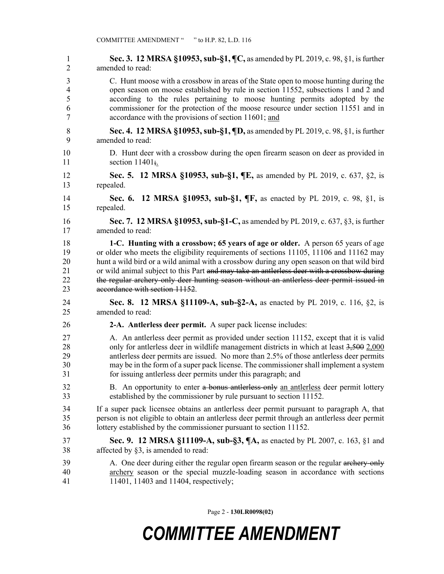1 **Sec. 3. 12 MRSA §10953, sub-§1, ¶C,** as amended by PL 2019, c. 98, §1, is further 2 amended to read: 3 C. Hunt moose with a crossbow in areas of the State open to moose hunting during the 4 open season on moose established by rule in section 11552, subsections 1 and 2 and 5 according to the rules pertaining to moose hunting permits adopted by the 6 commissioner for the protection of the moose resource under section 11551 and in 7 accordance with the provisions of section 11601; and 8 **Sec. 4. 12 MRSA §10953, sub-§1, ¶D,** as amended by PL 2019, c. 98, §1, is further 9 amended to read: 10 D. Hunt deer with a crossbow during the open firearm season on deer as provided in 11 section  $11401$ ; 12 **Sec. 5. 12 MRSA §10953, sub-§1, ¶E,** as amended by PL 2019, c. 637, §2, is 13 repealed. 14 **Sec. 6. 12 MRSA §10953, sub-§1, ¶F,** as enacted by PL 2019, c. 98, §1, is 15 repealed. 16 **Sec. 7. 12 MRSA §10953, sub-§1-C,** as amended by PL 2019, c. 637, §3, is further 17 amended to read: 18 **1-C. Hunting with a crossbow; 65 years of age or older.** A person 65 years of age 19 or older who meets the eligibility requirements of sections 11105, 11106 and 11162 may 20 hunt a wild bird or a wild animal with a crossbow during any open season on that wild bird 21 or wild animal subject to this Part and may take an antlerless deer with a crossbow during 22 the regular archery-only deer hunting season without an antlerless deer permit issued in 23 accordance with section 11152. 24 **Sec. 8. 12 MRSA §11109-A, sub-§2-A,** as enacted by PL 2019, c. 116, §2, is 25 amended to read: 26 **2-A. Antlerless deer permit.** A super pack license includes: 27 A. An antlerless deer permit as provided under section 11152, except that it is valid 28 only for antlerless deer in wildlife management districts in which at least  $3,500$  2,000 29 antlerless deer permits are issued. No more than 2.5% of those antlerless deer permits 30 may be in the form of a super pack license. The commissioner shall implement a system 31 for issuing antlerless deer permits under this paragraph; and 32 B. An opportunity to enter a bonus antlerless-only an antierless deer permit lottery 33 established by the commissioner by rule pursuant to section 11152. 34 If a super pack licensee obtains an antlerless deer permit pursuant to paragraph A, that 35 person is not eligible to obtain an antlerless deer permit through an antlerless deer permit 36 lottery established by the commissioner pursuant to section 11152. 37 **Sec. 9. 12 MRSA §11109-A, sub-§3, ¶A,** as enacted by PL 2007, c. 163, §1 and 38 affected by §3, is amended to read: 39 A. One deer during either the regular open firearm season or the regular archery-only 40 archery season or the special muzzle-loading season in accordance with sections 41 11401, 11403 and 11404, respectively;

Page 2 - **130LR0098(02)**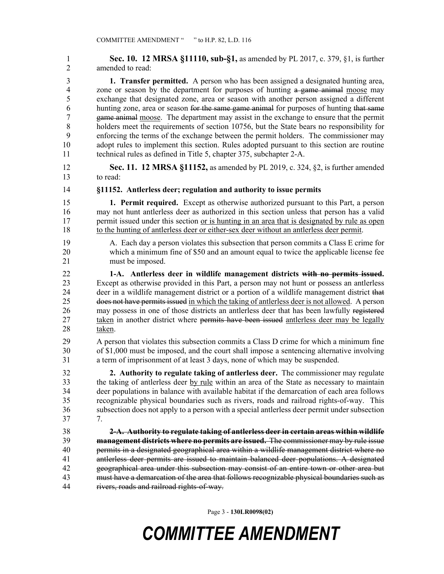1 **Sec. 10. 12 MRSA §11110, sub-§1,** as amended by PL 2017, c. 379, §1, is further 2 amended to read:

3 **1. Transfer permitted.** A person who has been assigned a designated hunting area, 4 zone or season by the department for purposes of hunting a game animal moose may 5 exchange that designated zone, area or season with another person assigned a different 6 hunting zone, area or season for the same game animal for purposes of hunting that same 7 game animal moose. The department may assist in the exchange to ensure that the permit 8 holders meet the requirements of section 10756, but the State bears no responsibility for 9 enforcing the terms of the exchange between the permit holders. The commissioner may 10 adopt rules to implement this section. Rules adopted pursuant to this section are routine 11 technical rules as defined in Title 5, chapter 375, subchapter 2-A.

12 **Sec. 11. 12 MRSA §11152,** as amended by PL 2019, c. 324, §2, is further amended 13 to read:

14 **§11152. Antlerless deer; regulation and authority to issue permits**

15 **1. Permit required.** Except as otherwise authorized pursuant to this Part, a person 16 may not hunt antlerless deer as authorized in this section unless that person has a valid 17 permit issued under this section or is hunting in an area that is designated by rule as open 18 to the hunting of antlerless deer or either-sex deer without an antlerless deer permit.

19 A. Each day a person violates this subsection that person commits a Class E crime for 20 which a minimum fine of \$50 and an amount equal to twice the applicable license fee 21 must be imposed.

22 **1-A. Antlerless deer in wildlife management districts with no permits issued.**  23 Except as otherwise provided in this Part, a person may not hunt or possess an antlerless 24 deer in a wildlife management district or a portion of a wildlife management district that 25 does not have permits issued in which the taking of antlerless deer is not allowed. A person 26 may possess in one of those districts an antlerless deer that has been lawfully registered 27 taken in another district where permits have been issued antlerless deer may be legally 28 taken.

29 A person that violates this subsection commits a Class D crime for which a minimum fine 30 of \$1,000 must be imposed, and the court shall impose a sentencing alternative involving 31 a term of imprisonment of at least 3 days, none of which may be suspended.

32 **2. Authority to regulate taking of antlerless deer.** The commissioner may regulate 33 the taking of antlerless deer by rule within an area of the State as necessary to maintain 34 deer populations in balance with available habitat if the demarcation of each area follows 35 recognizable physical boundaries such as rivers, roads and railroad rights-of-way. This 36 subsection does not apply to a person with a special antlerless deer permit under subsection 37 7.

38 **2-A. Authority to regulate taking of antlerless deer in certain areas within wildlife**  39 **management districts where no permits are issued.** The commissioner may by rule issue 40 permits in a designated geographical area within a wildlife management district where no 41 antlerless deer permits are issued to maintain balanced deer populations. A designated 42 geographical area under this subsection may consist of an entire town or other area but 43 must have a demarcation of the area that follows recognizable physical boundaries such as 44 rivers, roads and railroad rights-of-way.

Page 3 - **130LR0098(02)**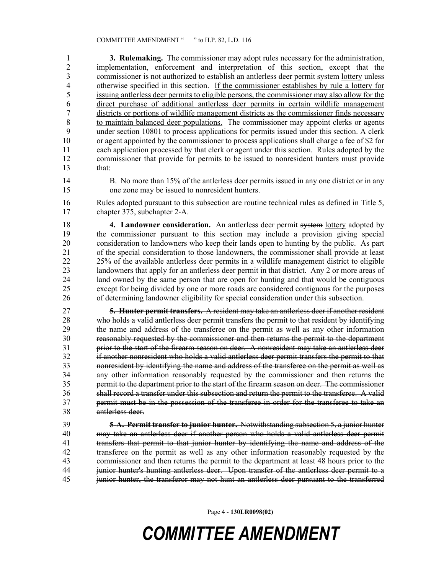1 **3. Rulemaking.** The commissioner may adopt rules necessary for the administration, 2 implementation, enforcement and interpretation of this section, except that the commissioner is not authorized to establish an antierless deer permit system lottery unless commissioner is not authorized to establish an antlerless deer permit system lottery unless 4 otherwise specified in this section. If the commissioner establishes by rule a lottery for 5 issuing antlerless deer permits to eligible persons, the commissioner may also allow for the 6 direct purchase of additional antlerless deer permits in certain wildlife management 7 districts or portions of wildlife management districts as the commissioner finds necessary 8 to maintain balanced deer populations. The commissioner may appoint clerks or agents 9 under section 10801 to process applications for permits issued under this section. A clerk 10 or agent appointed by the commissioner to process applications shall charge a fee of \$2 for 11 each application processed by that clerk or agent under this section. Rules adopted by the 12 commissioner that provide for permits to be issued to nonresident hunters must provide 13 that:

14 B. No more than 15% of the antlerless deer permits issued in any one district or in any 15 one zone may be issued to nonresident hunters.

16 Rules adopted pursuant to this subsection are routine technical rules as defined in Title 5, 17 chapter 375, subchapter 2‑A.

18 **4. Landowner consideration.** An antlerless deer permit system lottery adopted by 19 the commissioner pursuant to this section may include a provision giving special 20 consideration to landowners who keep their lands open to hunting by the public. As part 21 of the special consideration to those landowners, the commissioner shall provide at least 22 25% of the available antlerless deer permits in a wildlife management district to eligible 23 landowners that apply for an antlerless deer permit in that district. Any 2 or more areas of 24 land owned by the same person that are open for hunting and that would be contiguous land owned by the same person that are open for hunting and that would be contiguous 25 except for being divided by one or more roads are considered contiguous for the purposes 26 of determining landowner eligibility for special consideration under this subsection.

27 **5. Hunter permit transfers.** A resident may take an antlerless deer if another resident 28 who holds a valid antlerless deer permit transfers the permit to that resident by identifying 29 the name and address of the transferee on the permit as well as any other information 30 reasonably requested by the commissioner and then returns the permit to the department 31 prior to the start of the firearm season on deer. A nonresident may take an antlerless deer 32 if another nonresident who holds a valid antlerless deer permit transfers the permit to that 33 nonresident by identifying the name and address of the transferee on the permit as well as 34 any other information reasonably requested by the commissioner and then returns the 35 permit to the department prior to the start of the firearm season on deer. The commissioner 36 shall record a transfer under this subsection and return the permit to the transferee. A valid 37 permit must be in the possession of the transferee in order for the transferee to take an 38 antlerless deer.

39 **5-A. Permit transfer to junior hunter.** Notwithstanding subsection 5, a junior hunter 40 may take an antlerless deer if another person who holds a valid antlerless deer permit 41 transfers that permit to that junior hunter by identifying the name and address of the 42 transferee on the permit as well as any other information reasonably requested by the 43 commissioner and then returns the permit to the department at least 48 hours prior to the 44 junior hunter's hunting antlerless deer. Upon transfer of the antlerless deer permit to a 45 junior hunter, the transferor may not hunt an antlerless deer pursuant to the transferred

Page 4 - **130LR0098(02)**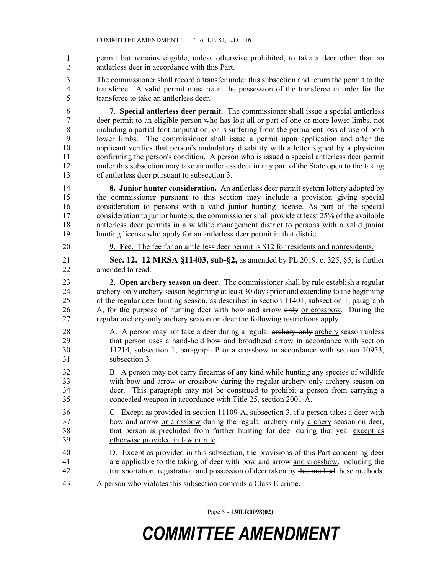- permit but remains eligible, unless otherwise prohibited, to take a deer other than an antlerless deer in accordance with this Part. 1 2
- 3 The commissioner shall record a transfer under this subsection and return the permit to the 4 transferee. A valid permit must be in the possession of the transferee in order for the 5 transferee to take an antlerless deer.
- 6 **7. Special antlerless deer permit.** The commissioner shall issue a special antlerless 7 deer permit to an eligible person who has lost all or part of one or more lower limbs, not 8 including a partial foot amputation, or is suffering from the permanent loss of use of both 9 lower limbs. The commissioner shall issue a permit upon application and after the 10 applicant verifies that person's ambulatory disability with a letter signed by a physician 11 confirming the person's condition. A person who is issued a special antlerless deer permit 12 under this subsection may take an antlerless deer in any part of the State open to the taking 13 of antlerless deer pursuant to subsection 3.
- 14 **8. Junior hunter consideration.** An antlerless deer permit system lottery adopted by 15 the commissioner pursuant to this section may include a provision giving special 16 consideration to persons with a valid junior hunting license. As part of the special 17 consideration to junior hunters, the commissioner shall provide at least 25% of the available 18 antlerless deer permits in a wildlife management district to persons with a valid junior 19 hunting license who apply for an antlerless deer permit in that district.
- 

20 **9. Fee.** The fee for an antlerless deer permit is \$12 for residents and nonresidents.

21 **Sec. 12. 12 MRSA §11403, sub-§2,** as amended by PL 2019, c. 325, §5, is further 22 amended to read:

23 **2. Open archery season on deer.** The commissioner shall by rule establish a regular 24 archery-only archery season beginning at least 30 days prior and extending to the beginning 25 of the regular deer hunting season, as described in section 11401, subsection 1, paragraph 26 A, for the purpose of hunting deer with bow and arrow only or crossbow. During the 27 regular archery-only archery season on deer the following restrictions apply.

- 28 A. A person may not take a deer during a regular archery-only archery season unless 29 that person uses a hand-held bow and broadhead arrow in accordance with section 30 11214, subsection 1, paragraph P or a crossbow in accordance with section 10953, 31 subsection 3.
- 32 B. A person may not carry firearms of any kind while hunting any species of wildlife 33 with bow and arrow or crossbow during the regular archery-only archery season on 34 deer. This paragraph may not be construed to prohibit a person from carrying a 35 concealed weapon in accordance with Title 25, section 2001‑A.
- 36 C. Except as provided in section 11109‑A, subsection 3, if a person takes a deer with 37 bow and arrow or crossbow during the regular archery-only archery season on deer, 38 that person is precluded from further hunting for deer during that year except as 39 otherwise provided in law or rule.
- 40 D. Except as provided in this subsection, the provisions of this Part concerning deer 41 are applicable to the taking of deer with bow and arrow and crossbow, including the 42 transportation, registration and possession of deer taken by this method these methods.
- 43 A person who violates this subsection commits a Class E crime.

Page 5 - **130LR0098(02)**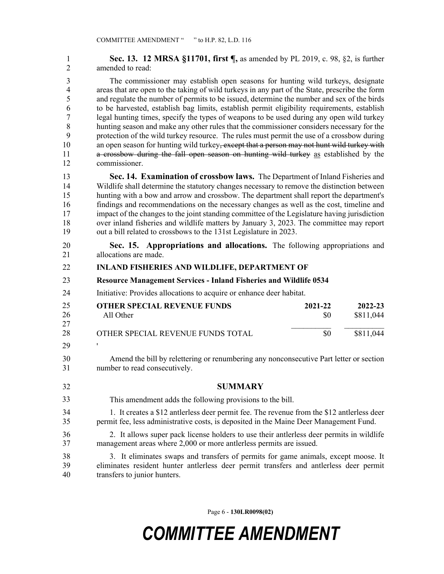| 1              | Sec. 13. 12 MRSA §11701, first ¶, as amended by PL 2019, c. 98, §2, is further                 |
|----------------|------------------------------------------------------------------------------------------------|
| $\overline{2}$ | amended to read:                                                                               |
| 3              | The commissioner may establish open seasons for hunting wild turkeys, designate                |
| $\overline{4}$ | areas that are open to the taking of wild turkeys in any part of the State, prescribe the form |
| 5              | and regulate the number of permits to be issued, determine the number and sex of the birds     |
| 6              | to be harvested, establish bag limits, establish permit eligibility requirements, establish    |
| $\overline{7}$ | legal hunting times, specify the types of weapons to be used during any open wild turkey       |
| $8\,$          | hunting season and make any other rules that the commissioner considers necessary for the      |
| 9              | protection of the wild turkey resource. The rules must permit the use of a crossbow during     |
| 10             | an open season for hunting wild turkey, except that a person may not hunt wild turkey with     |
| 11             | a crossbow during the fall open season on hunting wild turkey as established by the            |
| 12             | commissioner.                                                                                  |
| 13             | Sec. 14. Examination of crossbow laws. The Department of Inland Fisheries and                  |
| 14             | Wildlife shall determine the statutory changes necessary to remove the distinction between     |
| 15             | hunting with a bow and arrow and crossbow. The department shall report the department's        |
| 16             | findings and recommendations on the necessary changes as well as the cost, timeline and        |
| 17             | impact of the changes to the joint standing committee of the Legislature having jurisdiction   |
| 18             | over inland fisheries and wildlife matters by January 3, 2023. The committee may report        |
| 19             | out a bill related to crossbows to the 131st Legislature in 2023.                              |
| 20             | Sec. 15. Appropriations and allocations. The following appropriations and                      |
| 21             | allocations are made.                                                                          |
| 22             | <b>INLAND FISHERIES AND WILDLIFE, DEPARTMENT OF</b>                                            |
| 23             | <b>Resource Management Services - Inland Fisheries and Wildlife 0534</b>                       |
| 24             | Initiative: Provides allocations to acquire or enhance deer habitat.                           |
| 25<br>26<br>27 | <b>OTHER SPECIAL REVENUE FUNDS</b><br>2021-22<br>2022-23<br>All Other<br>\$811,044<br>\$0      |
| 28             | \$0<br>\$811,044<br>OTHER SPECIAL REVENUE FUNDS TOTAL                                          |
| 29             |                                                                                                |
| 30             | Amend the bill by relettering or renumbering any nonconsecutive Part letter or section         |
| 31             | number to read consecutively.                                                                  |
| 32             | <b>SUMMARY</b>                                                                                 |
| 33             | This amendment adds the following provisions to the bill.                                      |
| 34             | 1. It creates a \$12 antierless deer permit fee. The revenue from the \$12 antierless deer     |
| 35             | permit fee, less administrative costs, is deposited in the Maine Deer Management Fund.         |
| 36             | 2. It allows super pack license holders to use their antierless deer permits in wildlife       |
| 37             | management areas where 2,000 or more antierless permits are issued.                            |
| 38             | 3. It eliminates swaps and transfers of permits for game animals, except moose. It             |
| 39             | eliminates resident hunter antlerless deer permit transfers and antlerless deer permit         |
| 40             | transfers to junior hunters.                                                                   |

Page 6 - **130LR0098(02)**